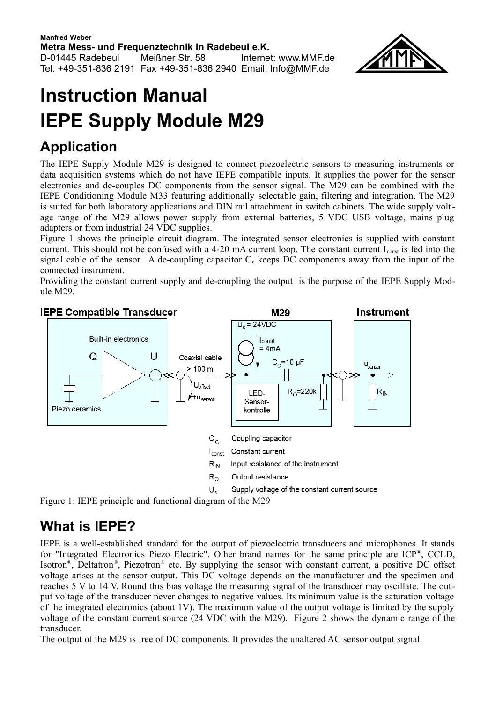

# **Instruction Manual IEPE Supply Module M29**

# **Application**

The IEPE Supply Module M29 is designed to connect piezoelectric sensors to measuring instruments or data acquisition systems which do not have IEPE compatible inputs. It supplies the power for the sensor electronics and de-couples DC components from the sensor signal. The M29 can be combined with the IEPE Conditioning Module M33 featuring additionally selectable gain, filtering and integration. The M29 is suited for both laboratory applications and DIN rail attachment in switch cabinets. The wide supply voltage range of the M29 allows power supply from external batteries, 5 VDC USB voltage, mains plug adapters or from industrial 24 VDC supplies.

[Figure 1](#page-0-0) shows the principle circuit diagram. The integrated sensor electronics is supplied with constant current. This should not be confused with a 4-20 mA current loop. The constant current  $I_{const}$  is fed into the signal cable of the sensor. A de-coupling capacitor  $C_c$  keeps DC components away from the input of the connected instrument.

Providing the constant current supply and de-coupling the output is the purpose of the IEPE Supply Module M29.



<span id="page-0-0"></span>Figure 1: IEPE principle and functional diagram of the M29

#### **What is IEPE?**

IEPE is a well-established standard for the output of piezoelectric transducers and microphones. It stands for "Integrated Electronics Piezo Electric". Other brand names for the same principle are ICP®, CCLD, Isotron®, Deltatron®, Piezotron® etc. By supplying the sensor with constant current, a positive DC offset voltage arises at the sensor output. This DC voltage depends on the manufacturer and the specimen and reaches 5 V to 14 V. Round this bias voltage the measuring signal of the transducer may oscillate. The output voltage of the transducer never changes to negative values. Its minimum value is the saturation voltage of the integrated electronics (about 1V). The maximum value of the output voltage is limited by the supply voltage of the constant current source (24 VDC with the M29). [Figure 2](#page-1-0) shows the dynamic range of the transducer.

The output of the M29 is free of DC components. It provides the unaltered AC sensor output signal.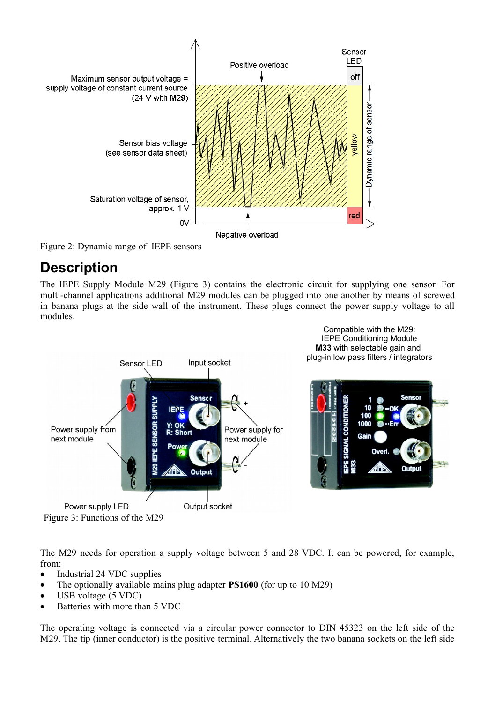

<span id="page-1-0"></span>Figure 2: Dynamic range of IEPE sensors

### **Description**

The IEPE Supply Module M29 [\(Figure 3\)](#page-1-1) contains the electronic circuit for supplying one sensor. For multi-channel applications additional M29 modules can be plugged into one another by means of screwed in banana plugs at the side wall of the instrument. These plugs connect the power supply voltage to all modules.



<span id="page-1-1"></span>The M29 needs for operation a supply voltage between 5 and 28 VDC. It can be powered, for example, from:

- Industrial 24 VDC supplies
- The optionally available mains plug adapter **PS1600** (for up to 10 M29)
- · USB voltage (5 VDC)
- Batteries with more than 5 VDC

The operating voltage is connected via a circular power connector to DIN 45323 on the left side of the M29. The tip (inner conductor) is the positive terminal. Alternatively the two banana sockets on the left side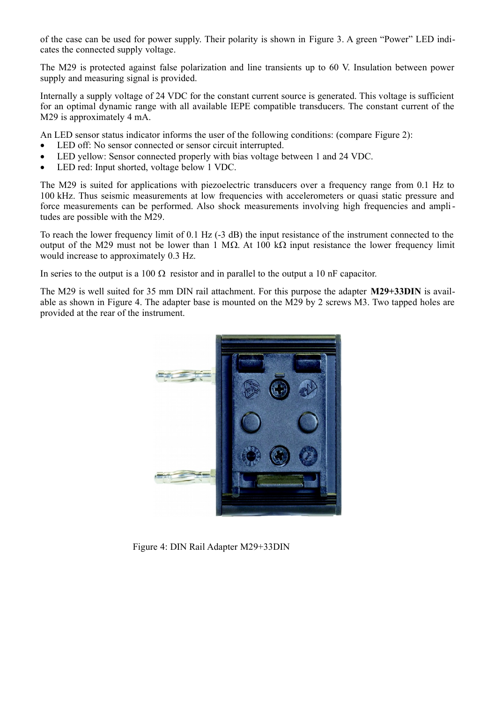of the case can be used for power supply. Their polarity is shown in [Figure 3.](#page-1-1) A green "Power" LED indicates the connected supply voltage.

The M29 is protected against false polarization and line transients up to 60 V. Insulation between power supply and measuring signal is provided.

Internally a supply voltage of 24 VDC for the constant current source is generated. This voltage is sufficient for an optimal dynamic range with all available IEPE compatible transducers. The constant current of the M29 is approximately 4 mA.

An LED sensor status indicator informs the user of the following conditions: (compare [Figure 2\)](#page-1-0):

- · LED off: No sensor connected or sensor circuit interrupted.
- LED yellow: Sensor connected properly with bias voltage between 1 and 24 VDC.
- LED red: Input shorted, voltage below 1 VDC.

The M29 is suited for applications with piezoelectric transducers over a frequency range from 0.1 Hz to 100 kHz. Thus seismic measurements at low frequencies with accelerometers or quasi static pressure and force measurements can be performed. Also shock measurements involving high frequencies and amplitudes are possible with the M29.

To reach the lower frequency limit of 0.1 Hz (-3 dB) the input resistance of the instrument connected to the output of the M29 must not be lower than 1 M $\Omega$ . At 100 k $\Omega$  input resistance the lower frequency limit would increase to approximately 0.3 Hz.

In series to the output is a 100  $\Omega$  resistor and in parallel to the output a 10 nF capacitor.

The M29 is well suited for 35 mm DIN rail attachment. For this purpose the adapter **M29+33DIN** is available as shown in [Figure 4.](#page-2-0) The adapter base is mounted on the M29 by 2 screws M3. Two tapped holes are provided at the rear of the instrument.

<span id="page-2-0"></span>

Figure 4: DIN Rail Adapter M29+33DIN